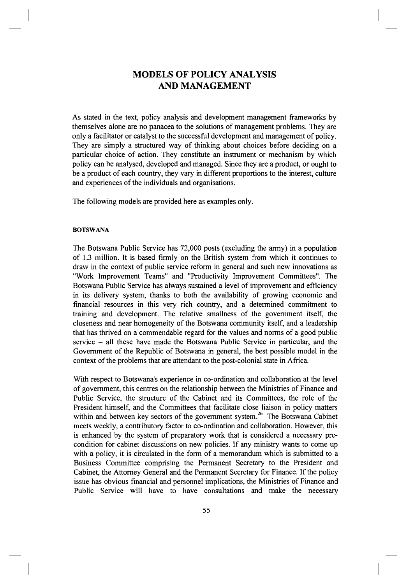# **MODELS OF POLICY ANALYSIS AND MANAGEMENT**

As stated in the text, policy analysis and development management frameworks by themselves alone are no panacea to the solutions of management problems. They are only a facilitator or catalyst to the successful development and management of policy. They are simply a structured way of thinking about choices before deciding on a particular choice of action. They constitute an instrument or mechanism by which policy can be analysed, developed and managed. Since they are a product, or ought to be a product of each country, they vary in different proportions to the interest, culture and experiences of the individuals and organisations.

The following models are provided here as examples only.

### **BOTSWANA**

The Botswana Public Service has 72,000 posts (excluding the army) in a population of 1.3 million. It is based firmly on the British system from which it continues to draw in the context of public service reform in general and such new innovations as "Work Improvement Teams" and "Productivity Improvement Committees". The Botswana Public Service has always sustained a level of improvement and efficiency in its delivery system, thanks to both the availability of growing economic and financial resources in this very rich country, and a determined commitment to training and development. The relative smallness of the government itself, the closeness and near homogeneity of the Botswana community itself, and a leadership that has thrived on a commendable regard for the values and norms of a good public service - all these have made the Botswana Public Service in particular, and the Government of the Republic of Botswana in general, the best possible model in the context of the problems that are attendant to the post-colonial state in Africa.

With respect to Botswana's experience in co-ordination and collaboration at the level of government, this centres on the relationship between the Ministries of Finance and Public Service, the structure of the Cabinet and its Committees, the role of the President himself, and the Committees that facilitate close liaison in policy matters within and between key sectors of the government system.<sup>26</sup> The Botswana Cabinet meets weekly, a contributory factor to co-ordination and collaboration. However, this is enhanced by the system of preparatory work that is considered a necessary precondition for cabinet discussions on new policies. If any ministry wants to come up with a policy, it is circulated in the form of a memorandum which is submitted to a Business Committee comprising the Permanent Secretary to the President and Cabinet, the Attorney General and the Permanent Secretary for Finance. If the policy issue has obvious financial and personnel implications, the Ministries of Finance and Public Service will have to have consultations and make the necessary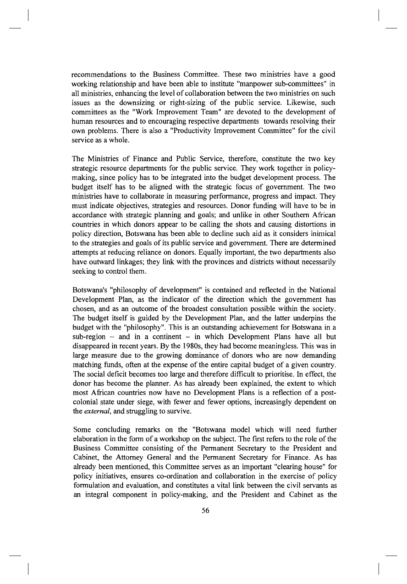recommendations to the Business Committee. These two ministries have a good working relationship and have been able to institute "manpower sub-committees" in all ministries, enhancing the level of collaboration between the two ministries on such issues as the downsizing or right-sizing of the public service. Likewise, such committees as the "Work Improvement Team" are devoted to the development of human resources and to encouraging respective departments towards resolving their own problems. There is also a "Productivity Improvement Committee" for the civil service as a whole.

The Ministries of Finance and Public Service, therefore, constitute the two key strategic resource departments for the public service. They work together in policymaking, since policy has to be integrated into the budget development process. The budget itself has to be aligned with the strategic focus of government. The two ministries have to collaborate in measuring performance, progress and impact. They must indicate objectives, strategies and resources. Donor funding will have to be in accordance with strategic planning and goals; and unlike in other Southern African countries in which donors appear to be calling the shots and causing distortions in policy direction, Botswana has been able to decline such aid as it considers inimical to the strategies and goals of its public service and government. There are determined attempts at reducing reliance on donors. Equally important, the two departments also have outward linkages; they link with the provinces and districts without necessarily seeking to control them.

Botswana's "philosophy of development" is contained and reflected in the National Development Plan, as the indicator of the direction which the government has chosen, and as an outcome of the broadest consultation possible within the society. The budget itself is guided by the Development Plan, and the latter underpins the budget with the "philosophy". This is an outstanding achievement for Botswana in a  $sub-region$  – and in a continent – in which Development Plans have all but disappeared in recent years. By the 1980s, they had become meaningless. This was in large measure due to the growing dominance of donors who are now demanding matching funds, often at the expense of the entire capital budget of a given country. The social deficit becomes too large and therefore difficult to prioritise. In effect, the donor has become the planner. As has already been explained, the extent to which most African countries now have no Development Plans is a reflection of a postcolonial state under siege, with fewer and fewer options, increasingly dependent on the *external,* and struggling to survive.

Some concluding remarks on the "Botswana model which will need further elaboration in the form of a workshop on the subject. The first refers to the role of the Business Committee consisting of the Permanent Secretary to the President and Cabinet, the Attorney General and the Permanent Secretary for Finance. As has already been mentioned, this Committee serves as an important "clearing house" for policy initiatives, ensures co-ordination and collaboration in the exercise of policy formulation and evaluation, and constitutes a vital link between the civil servants as an integral component in policy-making, and the President and Cabinet as the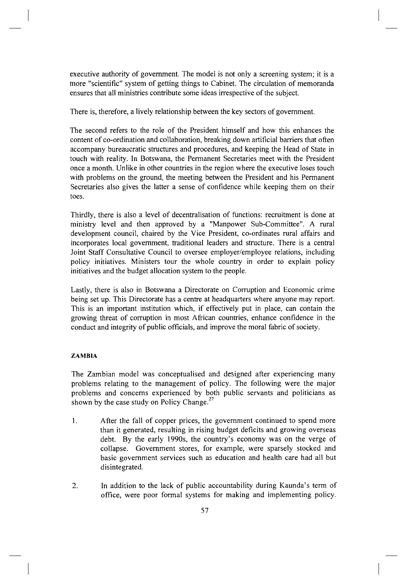executive authority of government. The model is not only a screening system; it is a more "scientific" system of getting things to Cabinet. The circulation of memoranda ensures that all ministries contribute some ideas irrespective of the subject.

There is, therefore, a lively relationship between the key sectors of government.

The second refers to the role of the President himself and how this enhances the content of co-ordination and collaboration, breaking down artificial barriers that often accompany bureaucratic structures and procedures, and keeping the Head of State in touch with reality. In Botswana, the Permanent Secretaries meet with the President once a month. Unlike in other countries in the region where the executive loses touch with problems on the ground, the meeting between the President and his Permanent Secretaries also gives the latter a sense of confidence while keeping them on their toes.

Thirdly, there is also a level of decentralisation of functions: recruitment is done at ministry level and then approved by a "Manpower Sub-Committee". A rural development council, chaired by the Vice President, co-ordinates rural affairs and incorporates local government, traditional leaders and structure. There is a central Joint Staff Consultative Council to oversee employer/employee relations, including policy initiatives. Ministers tour the whole country in order to explain policy initiatives and the budget allocation system to the people.

Lastly, there is also in Botswana a Directorate on Corruption and Economic crime being set up. This Directorate has a centre at headquarters where anyone may report. This is an important institution which, if effectively put in place, can contain the growing threat of corruption in most African countries, enhance confidence in the conduct and integrity of public officials, and improve the moral fabric of society.

## **ZAMBIA**

The Zambian model was conceptualised and designed after experiencing many problems relating to the management of policy. The following were the major problems and concerns experienced by both public servants and politicians as shown by the case study on Policy Change. $27$ 

- 1. After the fall of copper prices, the government continued to spend more than it generated, resulting in rising budget deficits and growing overseas debt. By the early 1990s, the country's economy was on the verge of collapse. Government stores, for example, were sparsely stocked and basic government services such as education and health care had all but disintegrated.
- 2. In addition to the lack of public accountability during Kaunda's term of office, were poor formal systems for making and implementing policy.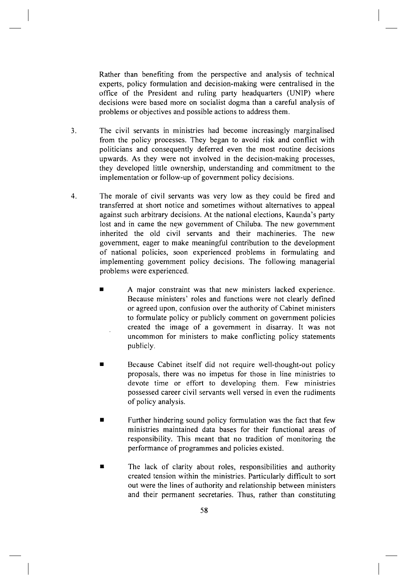Rather than benefiting from the perspective and analysis of technical experts, policy formulation and decision-making were centralised in the office of the President and ruling party headquarters (UNIP) where decisions were based more on socialist dogma than a careful analysis of problems or objectives and possible actions to address them.

- 3. The civil servants in ministries had become increasingly marginalised from the policy processes. They began to avoid risk and conflict with politicians and consequently deferred even the most routine decisions upwards. As they were not involved in the decision-making processes, they developed little ownership, understanding and commitment to the implementation or follow-up of government policy decisions.
- 4. The morale of civil servants was very low as they could be fired and transferred at short notice and sometimes without alternatives to appeal against such arbitrary decisions. At the national elections, Kaunda's party lost and in came the new government of Chiluba. The new government inherited the old civil servants and their machineries. The new government, eager to make meaningful contribution to the development of national policies, soon experienced problems in formulating and implementing government policy decisions. The following managerial problems were experienced.
	- A major constraint was that new ministers lacked experience. Because ministers' roles and functions were not clearly defined or agreed upon, confusion over the authority of Cabinet ministers to formulate policy or publicly comment on government policies created the image of a government in disarray. It was not uncommon for ministers to make conflicting policy statements publicly.
	- **Because Cabinet itself did not require well-thought-out policy** proposals, there was no impetus for those in line ministries to devote time or effort to developing them. Few ministries possessed career civil servants well versed in even the rudiments of policy analysis.
	- **•** Further hindering sound policy formulation was the fact that few ministries maintained data bases for their functional areas of responsibility. This meant that no tradition of monitoring the performance of programmes and policies existed.
	- The lack of clarity about roles, responsibilities and authority created tension within the ministries. Particularly difficult to sort out were the lines of authority and relationship between ministers and their permanent secretaries. Thus, rather than constituting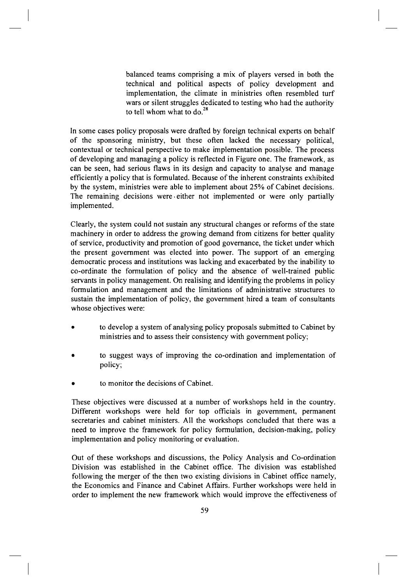balanced teams comprising a mix of players versed in both the technical and political aspects of policy development and implementation, the climate in ministries often resembled turf wars or silent struggles dedicated to testing who had the authority to tell whom what to do. $^{28}$ 

In some cases policy proposals were drafted by foreign technical experts on behalf of the sponsoring ministry, but these often lacked the necessary political, contextual or technical perspective to make implementation possible. The process of developing and managing a policy is reflected in Figure one. The framework, as can be seen, had serious flaws in its design and capacity to analyse and manage efficiently a policy that is formulated. Because of the inherent constraints exhibited by the system, ministries were able to implement about 25% of Cabinet decisions. The remaining decisions were either not implemented or were only partially implemented.

Clearly, the system could not sustain any structural changes or reforms of the state machinery in order to address the growing demand from citizens for better quality of service, productivity and promotion of good governance, the ticket under which the present government was elected into power. The support of an emerging democratic process and institutions was lacking and exacerbated by the inability to co-ordinate the formulation of policy and the absence of well-trained public servants in policy management. On realising and identifying the problems in policy formulation and management and the limitations of administrative structures to sustain the implementation of policy, the government hired a team of consultants whose objectives were:

- to develop a system of analysing policy proposals submitted to Cabinet by ministries and to assess their consistency with government policy;
- to suggest ways of improving the co-ordination and implementation of policy;
- to monitor the decisions of Cabinet.

These objectives were discussed at a number of workshops held in the country. Different workshops were held for top officials in government, permanent secretaries and cabinet ministers. All the workshops concluded that there was a need to improve the framework for policy formulation, decision-making, policy implementation and policy monitoring or evaluation.

Out of these workshops and discussions, the Policy Analysis and Co-ordination Division was established in the Cabinet office. The division was established following the merger of the then two existing divisions in Cabinet office namely, the Economics and Finance and Cabinet Affairs. Further workshops were held in order to implement the new framework which would improve the effectiveness of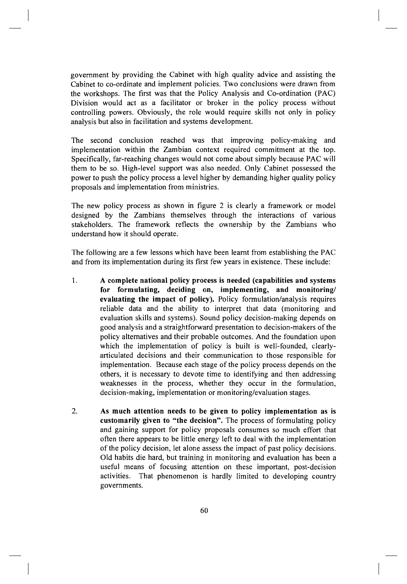government by providing the Cabinet with high quality advice and assisting the Cabinet to co-ordinate and implement policies. Two conclusions were drawn from the workshops. The first was that the Policy Analysis and Co-ordination (PAC) Division would act as a facilitator or broker in the policy process without controlling powers. Obviously, the role would require skills not only in policy analysis but also in facilitation and systems development.

The second conclusion reached was that improving policy-making and implementation within the Zambian context required commitment at the top. Specifically, far-reaching changes would not come about simply because PAC will them to be so. High-level support was also needed. Only Cabinet possessed the power to push the policy process a level higher by demanding higher quality policy proposals and implementation from ministries.

The new policy process as shown in figure 2 is clearly a framework or model designed by the Zambians themselves through the interactions of various stakeholders. The framework reflects the ownership by the Zambians who understand how it should operate.

The following are a few lessons which have been learnt from establishing the PAC and from its implementation during its first few years in existence. These include:

- 1. **A complete national policy process is needed (capabilities and systems**  for formulating, deciding on, implementing, and monitoring/ **evaluating the impact of policy).** Policy formulation/analysis requires reliable data and the ability to interpret that data (monitoring and evaluation skills and systems). Sound policy decision-making depends on good analysis and a straightforward presentation to decision-makers of the policy alternatives and their probable outcomes. And the foundation upon which the implementation of policy is built is well-founded, clearlyarticulated decisions and their communication to those responsible for implementation. Because each stage of the policy process depends on the others, it is necessary to devote time to identifying and then addressing weaknesses in the process, whether they occur in the formulation, decision-making, implementation or monitoring/evaluation stages.
- 2. **A s muc h attentio n need s t o b e give n t o polic y implementatio n a s is customarily given to "the decision".** The process of formulating policy and gaining support for policy proposals consumes so much effort that often there appears to be little energy left to deal with the implementation of the policy decision, let alone assess the impact of past policy decisions. Old habits die hard, but training in monitoring and evaluation has been a useful means of focusing attention on these important, post-decision activities. That phenomenon is hardly limited to developing country governments.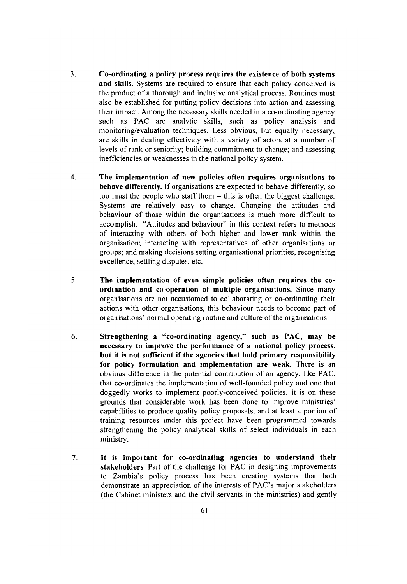- Co-ordinating a policy process requires the existence of both systems **and skills.** Systems are required to ensure that each policy conceived is the product of a thorough and inclusive analytical process. Routines must also be established for putting policy decisions into action and assessing their impact. Among the necessary skills needed in a co-ordinating agency such as PAC are analytic skills, such as policy analysis and monitoring/evaluation techniques. Less obvious, but equally necessary, are skills in dealing effectively with a variety of actors at a number of levels of rank or seniority; building commitment to change; and assessing inefficiencies or weaknesses in the national policy system. **3.**
- **The implementation of new policies often requires organisations to behave differently.** If organisations are expected to behave differently, so too must the people who staff them – this is often the biggest challenge. Systems are relatively easy to change. Changing the attitudes and behaviour of those within the organisations is much more difficult to accomplish. "Attitudes and behaviour" in this context refers to methods of interacting with others of both higher and lower rank within the organisation; interacting with representatives of other organisations or groups; and making decisions setting organisational priorities, recognising excellence, settling disputes, etc. **4.**
- *The implementation of even simple policies often requires the co***ordination and co-operation of multiple organisations.** Since many organisations are not accustomed to collaborating or co-ordinating their actions with other organisations, this behaviour needs to become part of organisations' normal operating routine and culture of the organisations. **5.**
- Strengthening a "co-ordinating agency," such as PAC, may be **necessary** to improve the performance of a national policy process, but it is not sufficient if the agencies that hold primary responsibility **for polic y formulatio n an d implementatio n ar e weak .** There is an obvious difference in the potential contribution of an agency, like PAC, that co-ordinates the implementation of well-founded policy and one that doggedly works to implement poorly-conceived policies. It is on these grounds that considerable work has been done to improve ministries' capabilities to produce quality policy proposals, and at least a portion of training resources under this project have been programmed towards strengthening the policy analytical skills of select individuals in each ministry. **6.**
- It is important for co-ordinating agencies to understand their **stakeholders.** Part of the challenge for PAC in designing improvements to Zambia's policy process has been creating systems that both demonstrate an appreciation of the interests of PAC's major stakeholders (the Cabinet ministers and the civil servants in the ministries) and gently **7.**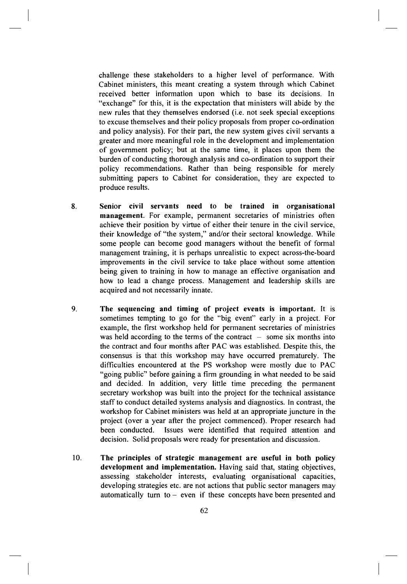challenge these stakeholders to a higher level of performance. With Cabinet ministers, this meant creating a system through which Cabinet received better information upon which to base its decisions. In "exchange" for this, it is the expectation that ministers will abide by the new rules that they themselves endorsed (i.e. not seek special exceptions to excuse themselves and their policy proposals from proper co-ordination and policy analysis). For their part, the new system gives civil servants a greater and more meaningful role in the development and implementation of government policy; but at the same time, it places upon them the burden of conducting thorough analysis and co-ordination to support their policy recommendations. Rather than being responsible for merely submitting papers to Cabinet for consideration, they are expected to produce results.

- Senior civil servants need to be trained in organisational **management.** For example, permanent secretaries of ministries often achieve their position by virtue of either their tenure in the civil service, their knowledge of "the system," and/or their sectoral knowledge. While some people can become good managers without the benefit of formal management training, it is perhaps unrealistic to expect across-the-board improvements in the civil service to take place without some attention being given to training in how to manage an effective organisation and how to lead a change process. Management and leadership skills are acquired and not necessarily innate. **8.**
- **The sequencing and timing of project events is important.** It is sometimes tempting to go for the "big event" early in a project. For example, the first workshop held for permanent secretaries of ministries was held according to the terms of the contract  $-$  some six months into the contract and four months after PAC was established. Despite this, the consensus is that this workshop may have occurred prematurely. The difficulties encountered at the PS workshop were mostly due to PAC "going public" before gaining a firm grounding in what needed to be said and decided. In addition, very little time preceding the permanent secretary workshop was built into the project for the technical assistance staff to conduct detailed systems analysis and diagnostics. In contrast, the workshop for Cabinet ministers was held at an appropriate juncture in the project (over a year after the project commenced). Proper research had been conducted. Issues were identified that required attention and decision. Solid proposals were ready for presentation and discussion. **9.**
- **The principle s o f strategi c managemen t ar e usefu l i n bot h polic y development and implementation.** Having said that, stating objectives, assessing stakeholder interests, evaluating organisational capacities, developing strategies etc. are not actions that public sector managers may automatically turn to  $-$  even if these concepts have been presented and **10.**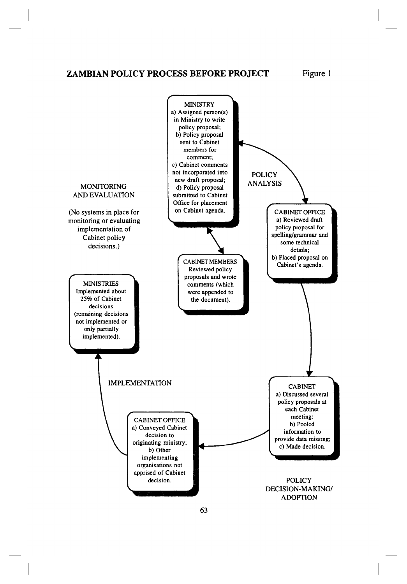**ZAMBIAN POLICY PROCESS BEFORE PROJECT** Figure 1

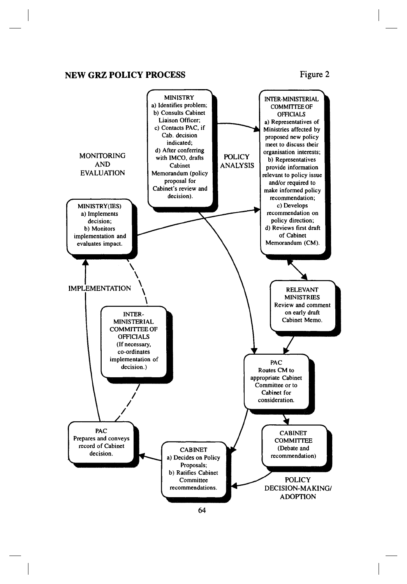## **NEW GRZ POLICY PROCESS** Figure 2

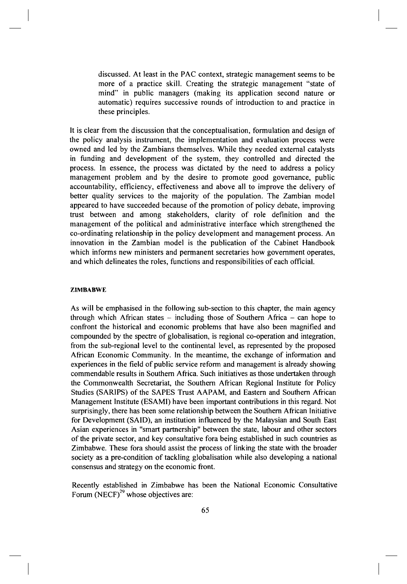discussed. At least in the PAC context, strategic management seems to be more of a practice skill. Creating the strategic management "state of mind" in public managers (making its application second nature or automatic) requires successive rounds of introduction to and practice in these principles.

It is clear from the discussion that the conceptualisation, formulation and design of the policy analysis instrument, the implementation and evaluation process were owned and led by the Zambians themselves. While they needed external catalysts in funding and development of the system, they controlled and directed the process. In essence, the process was dictated by the need to address a policy management problem and by the desire to promote good governance, public accountability, efficiency, effectiveness and above all to improve the delivery of better quality services to the majority of the population. The Zambian model appeared to have succeeded because of the promotion of policy debate, improving trust between and among stakeholders, clarity of role definition and the management of the political and administrative interface which strengthened the co-ordinating relationship in the policy development and management process. An innovation in the Zambian model is the publication of the Cabinet Handbook which informs new ministers and permanent secretaries how government operates, and which delineates the roles, functions and responsibilities of each official.

### **ZIMBABWE**

As will be emphasised in the following sub-section to this chapter, the main agency through which African states  $-$  including those of Southern Africa  $-$  can hope to confront the historical and economic problems that have also been magnified and compounded by the spectre of globalisation, is regional co-operation and integration, from the sub-regional level to the continental level, as represented by the proposed African Economic Community. In the meantime, the exchange of information and experiences in the field of public service reform and management is already showing commendable results in Southern Africa. Such initiatives as those undertaken through the Commonwealth Secretariat, the Southern African Regional Institute for Policy Studies (SAR1PS) of the SAPES Trust AAPAM, and Eastern and Southern African Management Institute (ESAMI) have been important contributions in this regard. Not surprisingly, there has been some relationship between the Southern African Initiative for Development (SAID), an institution influenced by the Malaysian and South East Asian experiences in "smart partnership" between the state, labour and other sectors of the private sector, and key consultative fora being established in such countries as Zimbabwe. These fora should assist the process of linking the state with the broader society as a pre-condition of tackling globalisation while also developing a national consensus and strategy on the economic front.

Recently established in Zimbabwe has been the National Economic Consultative Forum  $(NECF)^{29}$  $(NECF)^{29}$  $(NECF)^{29}$  whose objectives are: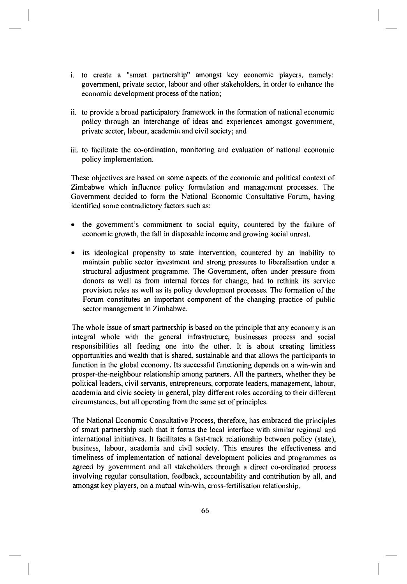- i. to create a "smart partnership" amongst key economic players, namely: government, private sector, labour and other stakeholders, in order to enhance the economic development process of the nation;
- ii. to provide a broad participatory framework in the formation of national economic policy through an interchange of ideas and experiences amongst government, private sector, labour, academia and civil society; and
- iii. to facilitate the co-ordination, monitoring and evaluation of national economic policy implementation.

These objectives are based on some aspects of the economic and political context of Zimbabwe which influence policy formulation and management processes. The Government decided to form the National Economic Consultative Forum, having identified some contradictory factors such as:

- the government's commitment to social equity, countered by the failure of economic growth, the fall in disposable income and growing social unrest.
- its ideological propensity to state intervention, countered by an inability to maintain public sector investment and strong pressures to liberalisation under a structural adjustment programme. The Government, often under pressure from donors as well as from internal forces for change, had to rethink its service provision roles as well as its policy development processes. The formation of the Forum constitutes an important component of the changing practice of public sector management in Zimbabwe.

The whole issue of smart partnership is based on the principle that any economy is an integral whole with the general infrastructure, businesses process and social responsibilities all feeding one into the other. It is about creating limitless opportunities and wealth that is shared, sustainable and that allows the participants to function in the global economy. Its successful functioning depends on a win-win and prosper-the-neighbour relationship among partners. All the partners, whether they be political leaders, civil servants, entrepreneurs, corporate leaders, management, labour, academia and civic society in general, play different roles according to their different circumstances, but all operating from the same set of principles.

The National Economic Consultative Process, therefore, has embraced the principles of smart partnership such that it forms the local interface with similar regional and international initiatives. It facilitates a fast-track relationship between policy (state), business, labour, academia and civil society. This ensures the effectiveness and timeliness of implementation of national development policies and programmes as agreed by government and all stakeholders through a direct co-ordinated process involving regular consultation, feedback, accountability and contribution by all, and amongst key players, on a mutual win-win, cross-fertilisation relationship.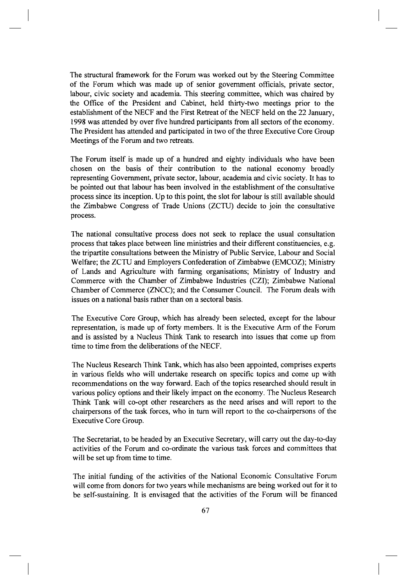The structural framework for the Forum was worked out by the Steering Committee of the Forum which was made up of senior government officials, private sector, labour, civic society and academia. This steering committee, which was chaired by the Office of the President and Cabinet, held thirty-two meetings prior to the establishment of the NECF and the First Retreat of the NECF held on the 22 January, 1998 was attended by over five hundred participants from all sectors of the economy. The President has attended and participated in two of the three Executive Core Group Meetings of the Forum and two retreats.

The Forum itself is made up of a hundred and eighty individuals who have been chosen on the basis of their contribution to the national economy broadly representing Government, private sector, labour, academia and civic society. It has to be pointed out that labour has been involved in the establishment of the consultative process since its inception. Up to this point, the slot for labour is still available should the Zimbabwe Congress of Trade Unions (ZCTU) decide to join the consultative process.

The national consultative process does not seek to replace the usual consultation process that takes place between line ministries and their different constituencies, e.g. the tripartite consultations between the Ministry of Public Service, Labour and Social Welfare; the ZCTU and Employers Confederation of Zimbabwe (EMCOZ); Ministry of Lands and Agriculture with farming organisations; Ministry of Industry and Commerce with the Chamber of Zimbabwe Industries (CZI); Zimbabwe National Chamber of Commerce (ZNCC); and the Consumer Council. The Forum deals with issues on a national basis rather than on a sectoral basis.

The Executive Core Group, which has already been selected, except for the labour representation, is made up of forty members. It is the Executive Arm of the Forum and is assisted by a Nucleus Think Tank to research into issues that come up from time to time from the deliberations of the NECF.

The Nucleus Research Think Tank, which has also been appointed, comprises experts in various fields who will undertake research on specific topics and come up with recommendations on the way forward. Each of the topics researched should result in various policy options and their likely impact on the economy. The Nucleus Research Think Tank will co-opt other researchers as the need arises and will report to the chairpersons of the task forces, who in turn will report to the co-chairpersons of the Executive Core Group.

The Secretariat, to be headed by an Executive Secretary, will carry out the day-to-day activities of the Forum and co-ordinate the various task forces and committees that will be set up from time to time.

The initial funding of the activities of the National Economic Consultative Forum will come from donors for two years while mechanisms are being worked out for it to be self-sustaining. It is envisaged that the activities of the Forum will be financed